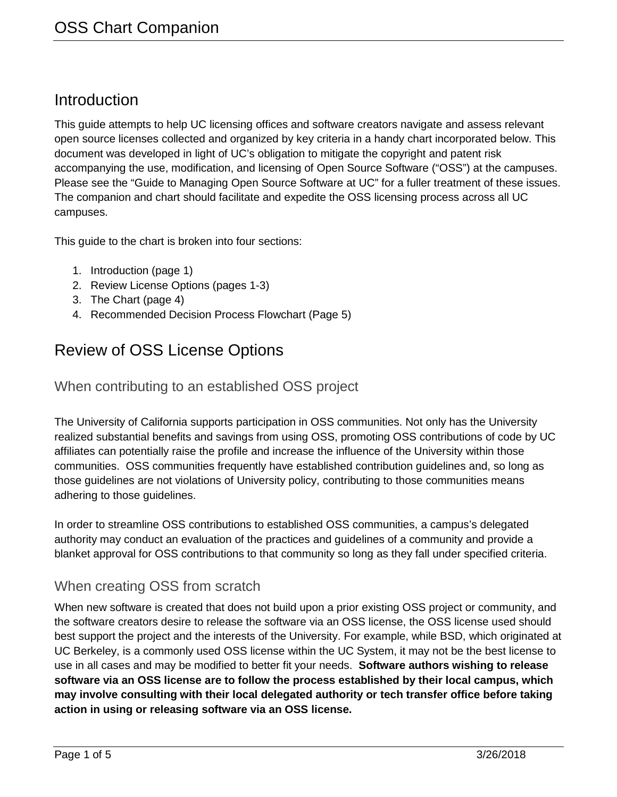# Introduction

This guide attempts to help UC licensing offices and software creators navigate and assess relevant open source licenses collected and organized by key criteria in a handy chart incorporated below. This document was developed in light of UC's obligation to mitigate the copyright and patent risk accompanying the use, modification, and licensing of Open Source Software ("OSS") at the campuses. Please see the "Guide to Managing Open Source Software at UC" for a fuller treatment of these issues. The companion and chart should facilitate and expedite the OSS licensing process across all UC campuses.

This guide to the chart is broken into four sections:

- 1. Introduction (page 1)
- 2. Review License Options (pages 1-3)
- 3. The Chart (page 4)
- 4. Recommended Decision Process Flowchart (Page 5)

# Review of OSS License Options

## When contributing to an established OSS project

The University of California supports participation in OSS communities. Not only has the University realized substantial benefits and savings from using OSS, promoting OSS contributions of code by UC affiliates can potentially raise the profile and increase the influence of the University within those communities. OSS communities frequently have established contribution guidelines and, so long as those guidelines are not violations of University policy, contributing to those communities means adhering to those guidelines.

In order to streamline OSS contributions to established OSS communities, a campus's delegated authority may conduct an evaluation of the practices and guidelines of a community and provide a blanket approval for OSS contributions to that community so long as they fall under specified criteria.

## When creating OSS from scratch

When new software is created that does not build upon a prior existing OSS project or community, and the software creators desire to release the software via an OSS license, the OSS license used should best support the project and the interests of the University. For example, while BSD, which originated at UC Berkeley, is a commonly used OSS license within the UC System, it may not be the best license to use in all cases and may be modified to better fit your needs. **Software authors wishing to release software via an OSS license are to follow the process established by their local campus, which may involve consulting with their local delegated authority or tech transfer office before taking action in using or releasing software via an OSS license.**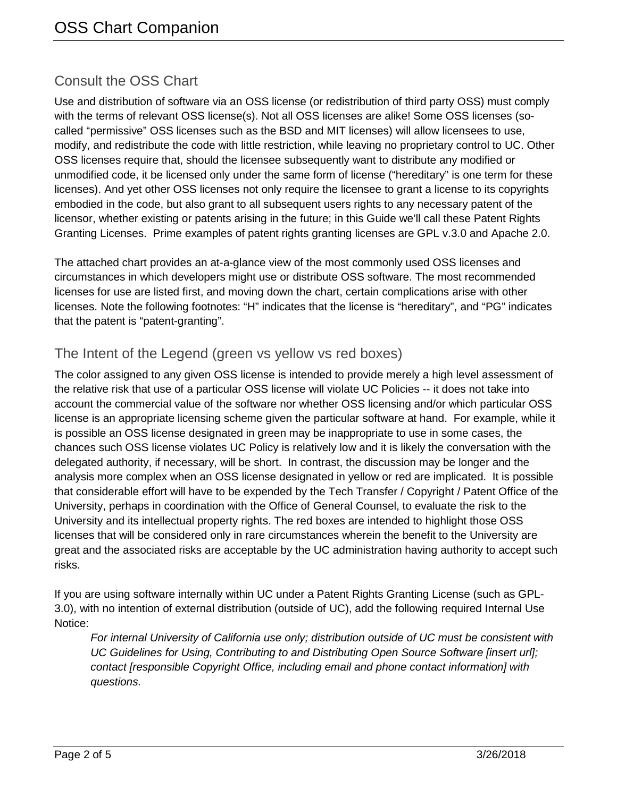# Consult the OSS Chart

Use and distribution of software via an OSS license (or redistribution of third party OSS) must comply with the terms of relevant OSS license(s). Not all OSS licenses are alike! Some OSS licenses (socalled "permissive" OSS licenses such as the BSD and MIT licenses) will allow licensees to use, modify, and redistribute the code with little restriction, while leaving no proprietary control to UC. Other OSS licenses require that, should the licensee subsequently want to distribute any modified or unmodified code, it be licensed only under the same form of license ("hereditary" is one term for these licenses). And yet other OSS licenses not only require the licensee to grant a license to its copyrights embodied in the code, but also grant to all subsequent users rights to any necessary patent of the licensor, whether existing or patents arising in the future; in this Guide we'll call these Patent Rights Granting Licenses. Prime examples of patent rights granting licenses are GPL v.3.0 and Apache 2.0.

The attached chart provides an at-a-glance view of the most commonly used OSS licenses and circumstances in which developers might use or distribute OSS software. The most recommended licenses for use are listed first, and moving down the chart, certain complications arise with other licenses. Note the following footnotes: "H" indicates that the license is "hereditary", and "PG" indicates that the patent is "patent-granting".

## The Intent of the Legend (green vs yellow vs red boxes)

The color assigned to any given OSS license is intended to provide merely a high level assessment of the relative risk that use of a particular OSS license will violate UC Policies -- it does not take into account the commercial value of the software nor whether OSS licensing and/or which particular OSS license is an appropriate licensing scheme given the particular software at hand. For example, while it is possible an OSS license designated in green may be inappropriate to use in some cases, the chances such OSS license violates UC Policy is relatively low and it is likely the conversation with the delegated authority, if necessary, will be short. In contrast, the discussion may be longer and the analysis more complex when an OSS license designated in yellow or red are implicated. It is possible that considerable effort will have to be expended by the Tech Transfer / Copyright / Patent Office of the University, perhaps in coordination with the Office of General Counsel, to evaluate the risk to the University and its intellectual property rights. The red boxes are intended to highlight those OSS licenses that will be considered only in rare circumstances wherein the benefit to the University are great and the associated risks are acceptable by the UC administration having authority to accept such risks.

If you are using software internally within UC under a Patent Rights Granting License (such as GPL-3.0), with no intention of external distribution (outside of UC), add the following required Internal Use Notice:

*For internal University of California use only; distribution outside of UC must be consistent with UC Guidelines for Using, Contributing to and Distributing Open Source Software [insert url]; contact [responsible Copyright Office, including email and phone contact information] with questions.*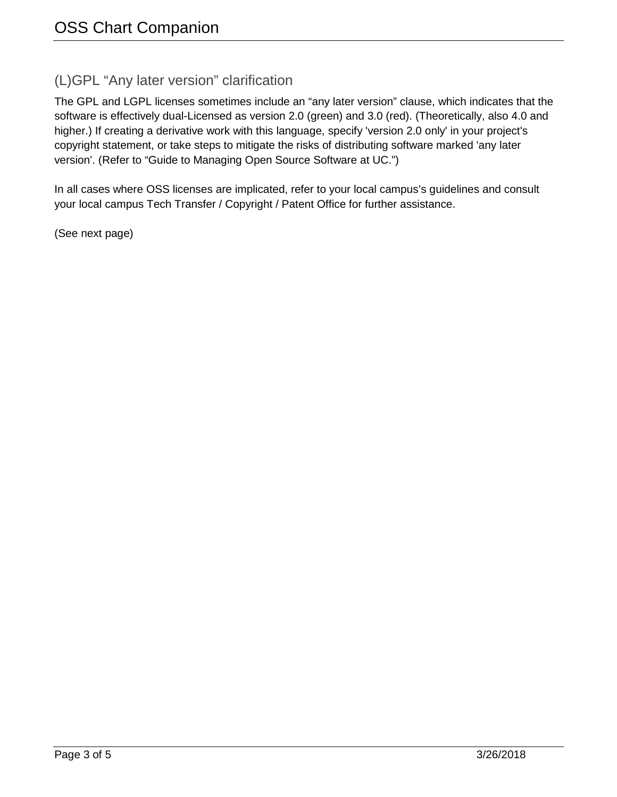#### (L)GPL "Any later version" clarification

The GPL and LGPL licenses sometimes include an "any later version" clause, which indicates that the software is effectively dual-Licensed as version 2.0 (green) and 3.0 (red). (Theoretically, also 4.0 and higher.) If creating a derivative work with this language, specify 'version 2.0 only' in your project's copyright statement, or take steps to mitigate the risks of distributing software marked 'any later version'. (Refer to "Guide to Managing Open Source Software at UC.")

In all cases where OSS licenses are implicated, refer to your local campus's guidelines and consult your local campus Tech Transfer / Copyright / Patent Office for further assistance.

(See next page)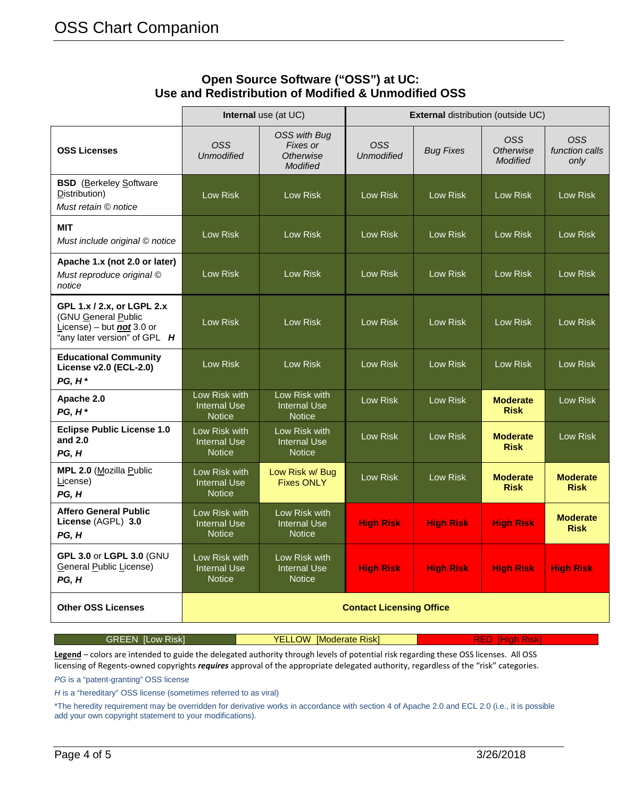|                                                                                                                    | <b>Internal</b> use (at UC)                           |                                                                        | <b>External distribution (outside UC)</b> |                  |                                            |                                      |
|--------------------------------------------------------------------------------------------------------------------|-------------------------------------------------------|------------------------------------------------------------------------|-------------------------------------------|------------------|--------------------------------------------|--------------------------------------|
| <b>OSS Licenses</b>                                                                                                | OSS<br><b>Unmodified</b>                              | <b>OSS with Bug</b><br>Fixes or<br><b>Otherwise</b><br><b>Modified</b> | <b>OSS</b><br><b>Unmodified</b>           | <b>Bug Fixes</b> | OSS<br><b>Otherwise</b><br><b>Modified</b> | <b>OSS</b><br>function calls<br>only |
| <b>BSD</b> (Berkeley Software<br>Distribution)<br>Must retain © notice                                             | Low Risk                                              | <b>Low Risk</b>                                                        | Low Risk                                  | Low Risk         | Low Risk                                   | Low Risk                             |
| MIT<br>Must include original © notice                                                                              | Low Risk                                              | <b>Low Risk</b>                                                        | <b>Low Risk</b>                           | Low Risk         | <b>Low Risk</b>                            | <b>Low Risk</b>                      |
| Apache 1.x (not 2.0 or later)<br>Must reproduce original ©<br>notice                                               | Low Risk                                              | Low Risk                                                               | <b>Low Risk</b>                           | <b>Low Risk</b>  | <b>Low Risk</b>                            | Low Risk                             |
| GPL 1.x / 2.x, or LGPL 2.x<br>(GNU General Public<br>License) – but $not 3.0$ or<br>"any later version" of GPL $H$ | Low Risk                                              | Low Risk                                                               | <b>Low Risk</b>                           | <b>Low Risk</b>  | <b>Low Risk</b>                            | <b>Low Risk</b>                      |
| <b>Educational Community</b><br>License v2.0 (ECL-2.0)<br>$PG, H^*$                                                | <b>Low Risk</b>                                       | Low Risk                                                               | <b>Low Risk</b>                           | Low Risk         | Low Risk                                   | Low Risk                             |
| Apache 2.0<br>$PG, H^*$                                                                                            | Low Risk with<br><b>Internal Use</b><br><b>Notice</b> | Low Risk with<br><b>Internal Use</b><br><b>Notice</b>                  | Low Risk                                  | Low Risk         | <b>Moderate</b><br><b>Risk</b>             | Low Risk                             |
| <b>Eclipse Public License 1.0</b><br>and 2.0<br>PG, H                                                              | Low Risk with<br><b>Internal Use</b><br><b>Notice</b> | Low Risk with<br><b>Internal Use</b><br><b>Notice</b>                  | Low Risk                                  | Low Risk         | <b>Moderate</b><br><b>Risk</b>             | Low Risk                             |
| MPL 2.0 (Mozilla Public<br>License)<br>PG, H                                                                       | Low Risk with<br><b>Internal Use</b><br>Notice        | Low Risk w/ Bug<br><b>Fixes ONLY</b>                                   | Low Risk                                  | Low Risk         | <b>Moderate</b><br><b>Risk</b>             | <b>Moderate</b><br><b>Risk</b>       |
| <b>Affero General Public</b><br>License (AGPL) 3.0<br>PG, H                                                        | Low Risk with<br><b>Internal Use</b><br><b>Notice</b> | Low Risk with<br><b>Internal Use</b><br><b>Notice</b>                  | <b>High Risk</b>                          | <b>High Risk</b> | <b>High Risk</b>                           | <b>Moderate</b><br><b>Risk</b>       |
| GPL 3.0 or LGPL 3.0 (GNU<br>General Public License)<br>PG, H                                                       | Low Risk with<br><b>Internal Use</b><br><b>Notice</b> | Low Risk with<br><b>Internal Use</b><br><b>Notice</b>                  | <b>High Risk</b>                          | <b>High Risk</b> | <b>High Risk</b>                           | <b>High Risk</b>                     |
| <b>Other OSS Licenses</b>                                                                                          | <b>Contact Licensing Office</b>                       |                                                                        |                                           |                  |                                            |                                      |

#### **Open Source Software ("OSS") at UC: Use and Redistribution of Modified & Unmodified OSS**

**Legend** – colors are intended to guide the delegated authority through levels of potential risk regarding these OSS licenses. All OSS licensing of Regents-owned copyrights *requires* approval of the appropriate delegated authority, regardless of the "risk" categories.

GREEN [Low Risk] **YELLOW [Moderate Risk]** RED [High Risk]

*PG* is a "patent-granting" OSS license

*H* is a "hereditary" OSS license (sometimes referred to as viral)

\*The heredity requirement may be overridden for derivative works in accordance with section 4 of Apache 2.0 and ECL 2.0 (i.e., it is possible add your own copyright statement to your modifications).